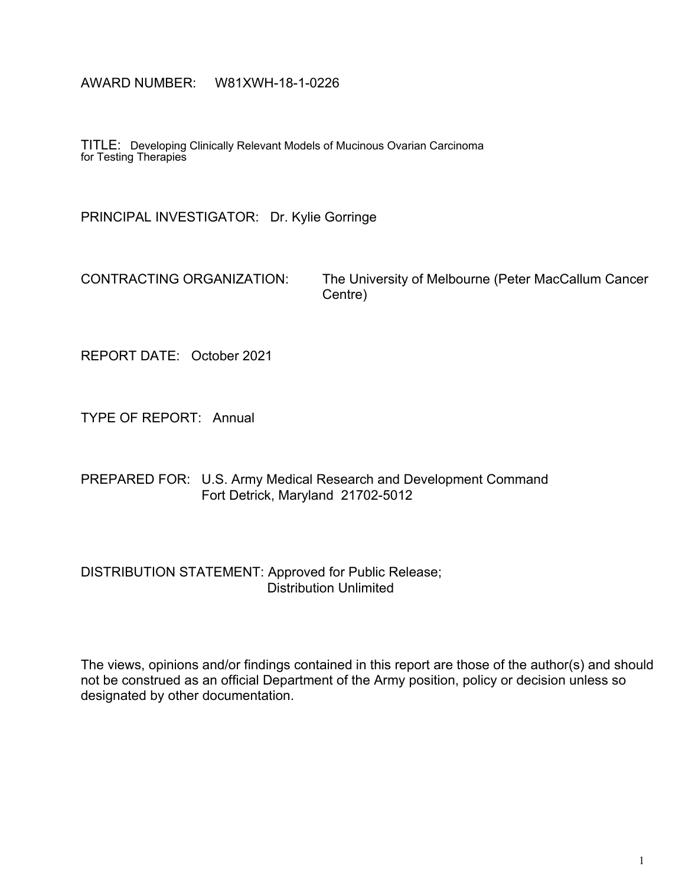#### AWARD NUMBER: W81XWH-18-1-0226

TITLE: Developing Clinically Relevant Models of Mucinous Ovarian Carcinoma for Testing Therapies

PRINCIPAL INVESTIGATOR: Dr. Kylie Gorringe

CONTRACTING ORGANIZATION: The University of Melbourne (Peter MacCallum Cancer Centre)

REPORT DATE: October 2021

TYPE OF REPORT: Annual

PREPARED FOR: U.S. Army Medical Research and Development Command Fort Detrick, Maryland 21702-5012

#### DISTRIBUTION STATEMENT: Approved for Public Release; Distribution Unlimited

The views, opinions and/or findings contained in this report are those of the author(s) and should not be construed as an official Department of the Army position, policy or decision unless so designated by other documentation.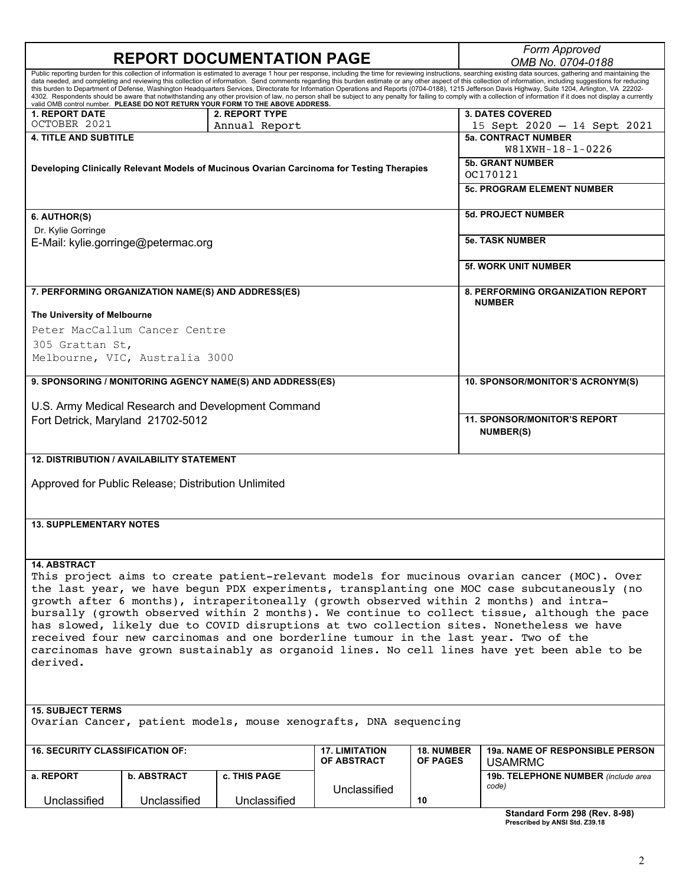| Form Approved<br><b>REPORT DOCUMENTATION PAGE</b><br>OMB No. 0704-0188                                                                                                                                                                                                                                                                                                                                                                                                                                                                                                                                                                                                                                                                                                                                                                                                                                                                                          |                                                     |                                                    |                                                                                           |                                      |                                                           |
|-----------------------------------------------------------------------------------------------------------------------------------------------------------------------------------------------------------------------------------------------------------------------------------------------------------------------------------------------------------------------------------------------------------------------------------------------------------------------------------------------------------------------------------------------------------------------------------------------------------------------------------------------------------------------------------------------------------------------------------------------------------------------------------------------------------------------------------------------------------------------------------------------------------------------------------------------------------------|-----------------------------------------------------|----------------------------------------------------|-------------------------------------------------------------------------------------------|--------------------------------------|-----------------------------------------------------------|
| Public reporting burden for this collection of information is estimated to average 1 hour per response, including the time for reviewing instructions, searching existing data sources, gathering and maintaining the<br>data needed, and completing and reviewing this collection of information. Send comments regarding this burden estimate or any other aspect of this collection of information, including suggestions for reducing<br>this burden to Department of Defense, Washington Headquarters Services, Directorate for Information Operations and Reports (0704-0188), 1215 Jefferson Davis Highway, Suite 1204, Arlington, VA 22202-<br>4302. Respondents should be aware that notwithstanding any other provision of law, no person shall be subject to any penalty for failing to comply with a collection of information if it does not display a currently<br>valid OMB control number. PLEASE DO NOT RETURN YOUR FORM TO THE ABOVE ADDRESS. |                                                     |                                                    |                                                                                           |                                      |                                                           |
| <b>1. REPORT DATE</b>                                                                                                                                                                                                                                                                                                                                                                                                                                                                                                                                                                                                                                                                                                                                                                                                                                                                                                                                           |                                                     | 2. REPORT TYPE                                     |                                                                                           |                                      | <b>3. DATES COVERED</b>                                   |
| OCTOBER 2021                                                                                                                                                                                                                                                                                                                                                                                                                                                                                                                                                                                                                                                                                                                                                                                                                                                                                                                                                    |                                                     | Annual Report                                      |                                                                                           |                                      | 15 Sept 2020 - 14 Sept 2021                               |
| <b>4. TITLE AND SUBTITLE</b>                                                                                                                                                                                                                                                                                                                                                                                                                                                                                                                                                                                                                                                                                                                                                                                                                                                                                                                                    |                                                     |                                                    |                                                                                           |                                      | <b>5a. CONTRACT NUMBER</b><br>W81XWH-18-1-0226            |
|                                                                                                                                                                                                                                                                                                                                                                                                                                                                                                                                                                                                                                                                                                                                                                                                                                                                                                                                                                 |                                                     |                                                    | Developing Clinically Relevant Models of Mucinous Ovarian Carcinoma for Testing Therapies |                                      | <b>5b. GRANT NUMBER</b><br>OC170121                       |
|                                                                                                                                                                                                                                                                                                                                                                                                                                                                                                                                                                                                                                                                                                                                                                                                                                                                                                                                                                 |                                                     |                                                    |                                                                                           |                                      | <b>5c. PROGRAM ELEMENT NUMBER</b>                         |
| 6. AUTHOR(S)                                                                                                                                                                                                                                                                                                                                                                                                                                                                                                                                                                                                                                                                                                                                                                                                                                                                                                                                                    |                                                     |                                                    |                                                                                           |                                      | <b>5d. PROJECT NUMBER</b>                                 |
| Dr. Kylie Gorringe<br>E-Mail: kylie.gorringe@petermac.org                                                                                                                                                                                                                                                                                                                                                                                                                                                                                                                                                                                                                                                                                                                                                                                                                                                                                                       |                                                     |                                                    |                                                                                           |                                      | <b>5e. TASK NUMBER</b>                                    |
|                                                                                                                                                                                                                                                                                                                                                                                                                                                                                                                                                                                                                                                                                                                                                                                                                                                                                                                                                                 |                                                     |                                                    |                                                                                           |                                      | <b>5f. WORK UNIT NUMBER</b>                               |
|                                                                                                                                                                                                                                                                                                                                                                                                                                                                                                                                                                                                                                                                                                                                                                                                                                                                                                                                                                 | 7. PERFORMING ORGANIZATION NAME(S) AND ADDRESS(ES)  |                                                    |                                                                                           |                                      | <b>8. PERFORMING ORGANIZATION REPORT</b><br><b>NUMBER</b> |
| The University of Melbourne                                                                                                                                                                                                                                                                                                                                                                                                                                                                                                                                                                                                                                                                                                                                                                                                                                                                                                                                     |                                                     |                                                    |                                                                                           |                                      |                                                           |
|                                                                                                                                                                                                                                                                                                                                                                                                                                                                                                                                                                                                                                                                                                                                                                                                                                                                                                                                                                 | Peter MacCallum Cancer Centre                       |                                                    |                                                                                           |                                      |                                                           |
| 305 Grattan St,                                                                                                                                                                                                                                                                                                                                                                                                                                                                                                                                                                                                                                                                                                                                                                                                                                                                                                                                                 |                                                     |                                                    |                                                                                           |                                      |                                                           |
|                                                                                                                                                                                                                                                                                                                                                                                                                                                                                                                                                                                                                                                                                                                                                                                                                                                                                                                                                                 | Melbourne, VIC, Australia 3000                      |                                                    |                                                                                           |                                      |                                                           |
| 9. SPONSORING / MONITORING AGENCY NAME(S) AND ADDRESS(ES)                                                                                                                                                                                                                                                                                                                                                                                                                                                                                                                                                                                                                                                                                                                                                                                                                                                                                                       |                                                     |                                                    |                                                                                           |                                      | 10. SPONSOR/MONITOR'S ACRONYM(S)                          |
|                                                                                                                                                                                                                                                                                                                                                                                                                                                                                                                                                                                                                                                                                                                                                                                                                                                                                                                                                                 |                                                     | U.S. Army Medical Research and Development Command |                                                                                           |                                      |                                                           |
| Fort Detrick, Maryland 21702-5012                                                                                                                                                                                                                                                                                                                                                                                                                                                                                                                                                                                                                                                                                                                                                                                                                                                                                                                               |                                                     |                                                    |                                                                                           |                                      | <b>11. SPONSOR/MONITOR'S REPORT</b><br><b>NUMBER(S)</b>   |
|                                                                                                                                                                                                                                                                                                                                                                                                                                                                                                                                                                                                                                                                                                                                                                                                                                                                                                                                                                 | <b>12. DISTRIBUTION / AVAILABILITY STATEMENT</b>    |                                                    |                                                                                           |                                      |                                                           |
|                                                                                                                                                                                                                                                                                                                                                                                                                                                                                                                                                                                                                                                                                                                                                                                                                                                                                                                                                                 | Approved for Public Release; Distribution Unlimited |                                                    |                                                                                           |                                      |                                                           |
|                                                                                                                                                                                                                                                                                                                                                                                                                                                                                                                                                                                                                                                                                                                                                                                                                                                                                                                                                                 |                                                     |                                                    |                                                                                           |                                      |                                                           |
| <b>13. SUPPLEMENTARY NOTES</b>                                                                                                                                                                                                                                                                                                                                                                                                                                                                                                                                                                                                                                                                                                                                                                                                                                                                                                                                  |                                                     |                                                    |                                                                                           |                                      |                                                           |
|                                                                                                                                                                                                                                                                                                                                                                                                                                                                                                                                                                                                                                                                                                                                                                                                                                                                                                                                                                 |                                                     |                                                    |                                                                                           |                                      |                                                           |
| <b>14. ABSTRACT</b><br>This project aims to create patient-relevant models for mucinous ovarian cancer (MOC). Over<br>the last year, we have begun PDX experiments, transplanting one MOC case subcutaneously (no<br>growth after 6 months), intraperitoneally (growth observed within 2 months) and intra-<br>bursally (growth observed within 2 months). We continue to collect tissue, although the pace<br>has slowed, likely due to COVID disruptions at two collection sites. Nonetheless we have<br>received four new carcinomas and one borderline tumour in the last year. Two of the<br>carcinomas have grown sustainably as organoid lines. No cell lines have yet been able to be<br>derived.                                                                                                                                                                                                                                                       |                                                     |                                                    |                                                                                           |                                      |                                                           |
| <b>15. SUBJECT TERMS</b>                                                                                                                                                                                                                                                                                                                                                                                                                                                                                                                                                                                                                                                                                                                                                                                                                                                                                                                                        |                                                     |                                                    |                                                                                           |                                      |                                                           |
|                                                                                                                                                                                                                                                                                                                                                                                                                                                                                                                                                                                                                                                                                                                                                                                                                                                                                                                                                                 |                                                     |                                                    | Ovarian Cancer, patient models, mouse xenografts, DNA sequencing                          |                                      |                                                           |
| <b>16. SECURITY CLASSIFICATION OF:</b>                                                                                                                                                                                                                                                                                                                                                                                                                                                                                                                                                                                                                                                                                                                                                                                                                                                                                                                          |                                                     |                                                    | <b>17. LIMITATION</b><br>OF ABSTRACT                                                      | <b>18. NUMBER</b><br><b>OF PAGES</b> | 19a. NAME OF RESPONSIBLE PERSON<br><b>USAMRMC</b>         |
| a. REPORT                                                                                                                                                                                                                                                                                                                                                                                                                                                                                                                                                                                                                                                                                                                                                                                                                                                                                                                                                       | <b>b. ABSTRACT</b>                                  | c. THIS PAGE                                       |                                                                                           |                                      | 19b. TELEPHONE NUMBER (include area<br>code)              |
| Unclassified                                                                                                                                                                                                                                                                                                                                                                                                                                                                                                                                                                                                                                                                                                                                                                                                                                                                                                                                                    | Unclassified                                        | Unclassified                                       | Unclassified                                                                              | 10                                   | Chanderd Farm 200 (Day 0.00)                              |

| Standard Form 298 (Rev. 8-98)  |  |  |
|--------------------------------|--|--|
| Prescribed by ANSI Std. Z39.18 |  |  |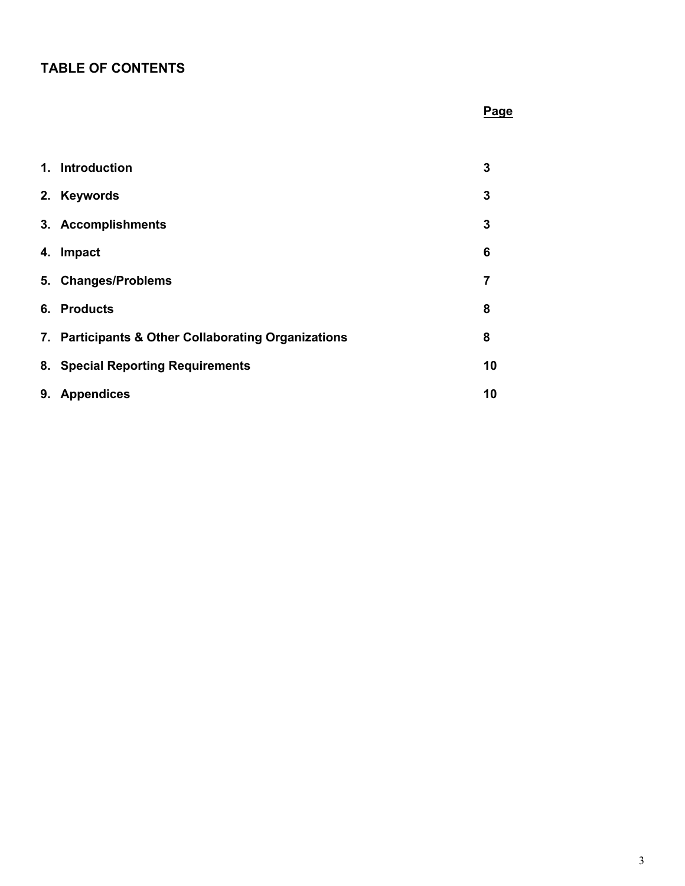# **TABLE OF CONTENTS**

#### **Page**

|    | 1. Introduction                                     | 3  |
|----|-----------------------------------------------------|----|
|    | 2. Keywords                                         | 3  |
|    | 3. Accomplishments                                  | 3  |
| 4. | Impact                                              | 6  |
|    | 5. Changes/Problems                                 | 7  |
|    | 6. Products                                         | 8  |
|    | 7. Participants & Other Collaborating Organizations | 8  |
|    | 8. Special Reporting Requirements                   | 10 |
| 9. | <b>Appendices</b>                                   | 10 |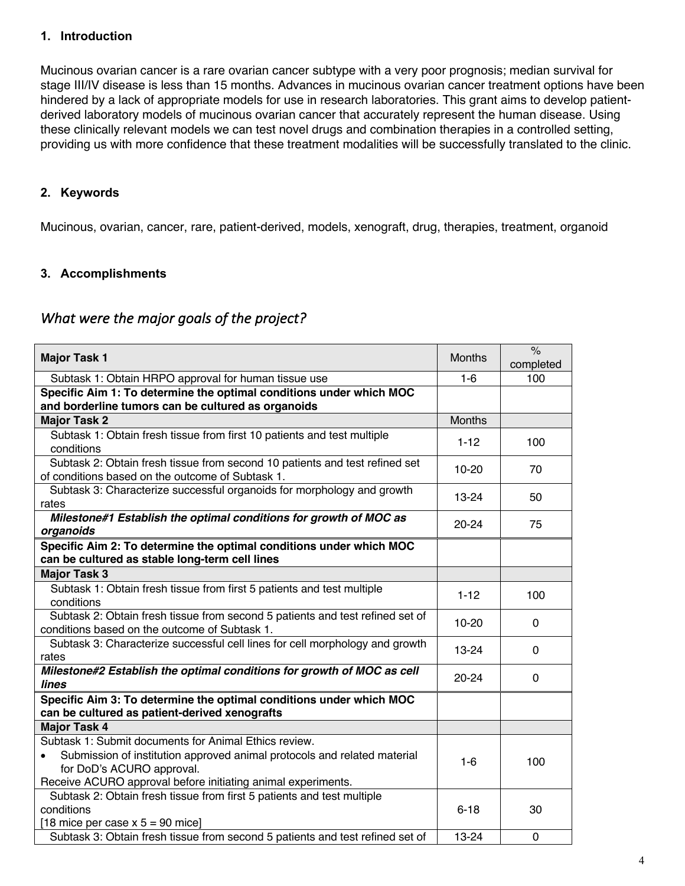#### **1. Introduction**

Mucinous ovarian cancer is a rare ovarian cancer subtype with a very poor prognosis; median survival for stage III/IV disease is less than 15 months. Advances in mucinous ovarian cancer treatment options have been hindered by a lack of appropriate models for use in research laboratories. This grant aims to develop patientderived laboratory models of mucinous ovarian cancer that accurately represent the human disease. Using these clinically relevant models we can test novel drugs and combination therapies in a controlled setting, providing us with more confidence that these treatment modalities will be successfully translated to the clinic.

#### **2. Keywords**

Mucinous, ovarian, cancer, rare, patient-derived, models, xenograft, drug, therapies, treatment, organoid

#### **3. Accomplishments**

### *What were the major goals of the project?*

| <b>Major Task 1</b>                                                                                                                                                   | <b>Months</b> | $\%$<br>completed |
|-----------------------------------------------------------------------------------------------------------------------------------------------------------------------|---------------|-------------------|
| Subtask 1: Obtain HRPO approval for human tissue use                                                                                                                  | $1-6$         | 100               |
| Specific Aim 1: To determine the optimal conditions under which MOC                                                                                                   |               |                   |
| and borderline tumors can be cultured as organoids                                                                                                                    |               |                   |
| <b>Major Task 2</b>                                                                                                                                                   | <b>Months</b> |                   |
| Subtask 1: Obtain fresh tissue from first 10 patients and test multiple<br>conditions                                                                                 | $1 - 12$      | 100               |
| Subtask 2: Obtain fresh tissue from second 10 patients and test refined set<br>of conditions based on the outcome of Subtask 1.                                       | $10 - 20$     | 70                |
| Subtask 3: Characterize successful organoids for morphology and growth<br>rates                                                                                       | $13 - 24$     | 50                |
| Milestone#1 Establish the optimal conditions for growth of MOC as<br>organoids                                                                                        | $20 - 24$     | 75                |
| Specific Aim 2: To determine the optimal conditions under which MOC<br>can be cultured as stable long-term cell lines                                                 |               |                   |
| <b>Major Task 3</b>                                                                                                                                                   |               |                   |
| Subtask 1: Obtain fresh tissue from first 5 patients and test multiple<br>conditions                                                                                  | $1 - 12$      | 100               |
| Subtask 2: Obtain fresh tissue from second 5 patients and test refined set of<br>conditions based on the outcome of Subtask 1.                                        | $10 - 20$     | 0                 |
| Subtask 3: Characterize successful cell lines for cell morphology and growth<br>rates                                                                                 | 13-24         | 0                 |
| Milestone#2 Establish the optimal conditions for growth of MOC as cell<br>lines                                                                                       | 20-24         | 0                 |
| Specific Aim 3: To determine the optimal conditions under which MOC<br>can be cultured as patient-derived xenografts                                                  |               |                   |
| <b>Major Task 4</b>                                                                                                                                                   |               |                   |
| Subtask 1: Submit documents for Animal Ethics review.                                                                                                                 |               |                   |
| Submission of institution approved animal protocols and related material<br>for DoD's ACURO approval.<br>Receive ACURO approval before initiating animal experiments. | $1-6$         | 100               |
| Subtask 2: Obtain fresh tissue from first 5 patients and test multiple                                                                                                |               |                   |
| conditions                                                                                                                                                            | $6 - 18$      | 30                |
| [18 mice per case $x 5 = 90$ mice]                                                                                                                                    |               |                   |
| Subtask 3: Obtain fresh tissue from second 5 patients and test refined set of                                                                                         | 13-24         | 0                 |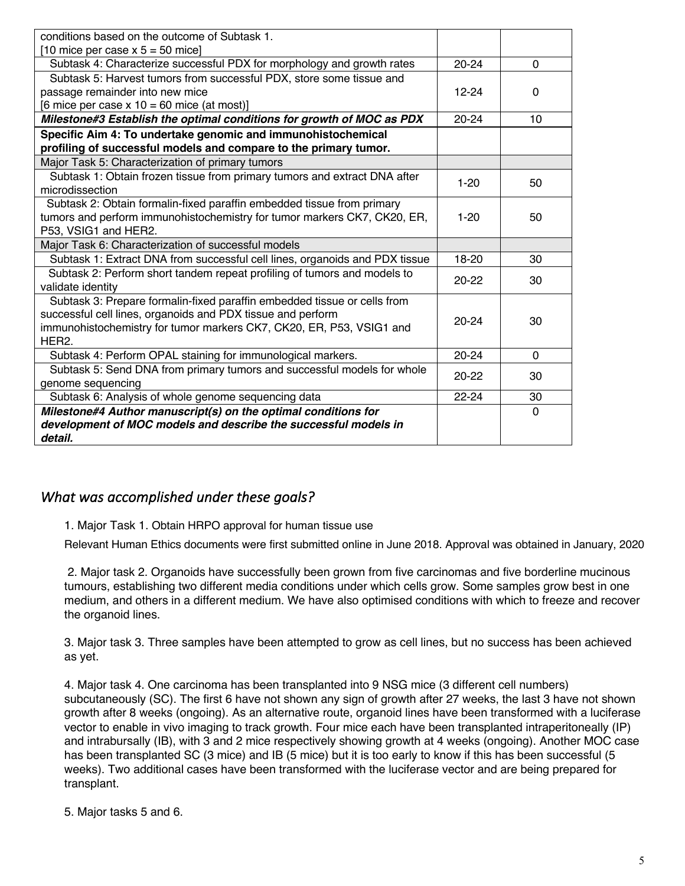| conditions based on the outcome of Subtask 1.                               |           |          |
|-----------------------------------------------------------------------------|-----------|----------|
| [10 mice per case $x 5 = 50$ mice]                                          |           |          |
| Subtask 4: Characterize successful PDX for morphology and growth rates      | $20 - 24$ | $\Omega$ |
| Subtask 5: Harvest tumors from successful PDX, store some tissue and        |           |          |
| passage remainder into new mice                                             | $12 - 24$ | $\Omega$ |
| [6 mice per case $x 10 = 60$ mice (at most)]                                |           |          |
| Milestone#3 Establish the optimal conditions for growth of MOC as PDX       | $20 - 24$ | 10       |
| Specific Aim 4: To undertake genomic and immunohistochemical                |           |          |
| profiling of successful models and compare to the primary tumor.            |           |          |
| Major Task 5: Characterization of primary tumors                            |           |          |
| Subtask 1: Obtain frozen tissue from primary tumors and extract DNA after   | $1 - 20$  | 50       |
| microdissection                                                             |           |          |
| Subtask 2: Obtain formalin-fixed paraffin embedded tissue from primary      |           |          |
| tumors and perform immunohistochemistry for tumor markers CK7, CK20, ER,    | $1 - 20$  | 50       |
| P53, VSIG1 and HER2.                                                        |           |          |
| Major Task 6: Characterization of successful models                         |           |          |
| Subtask 1: Extract DNA from successful cell lines, organoids and PDX tissue | 18-20     | 30       |
| Subtask 2: Perform short tandem repeat profiling of tumors and models to    | $20 - 22$ | 30       |
| validate identity                                                           |           |          |
| Subtask 3: Prepare formalin-fixed paraffin embedded tissue or cells from    |           |          |
| successful cell lines, organoids and PDX tissue and perform                 | $20 - 24$ | 30       |
| immunohistochemistry for tumor markers CK7, CK20, ER, P53, VSIG1 and        |           |          |
| HER <sub>2</sub>                                                            |           |          |
| Subtask 4: Perform OPAL staining for immunological markers.                 | $20 - 24$ | $\Omega$ |
| Subtask 5: Send DNA from primary tumors and successful models for whole     | $20 - 22$ | 30       |
| genome sequencing                                                           |           |          |
| Subtask 6: Analysis of whole genome sequencing data                         | $22 - 24$ | 30       |
| Milestone#4 Author manuscript(s) on the optimal conditions for              |           | $\Omega$ |
| development of MOC models and describe the successful models in             |           |          |
| detail.                                                                     |           |          |

### *What was accomplished under these goals?*

1. Major Task 1. Obtain HRPO approval for human tissue use

Relevant Human Ethics documents were first submitted online in June 2018. Approval was obtained in January, 2020

2. Major task 2. Organoids have successfully been grown from five carcinomas and five borderline mucinous tumours, establishing two different media conditions under which cells grow. Some samples grow best in one medium, and others in a different medium. We have also optimised conditions with which to freeze and recover the organoid lines.

3. Major task 3. Three samples have been attempted to grow as cell lines, but no success has been achieved as yet.

4. Major task 4. One carcinoma has been transplanted into 9 NSG mice (3 different cell numbers) subcutaneously (SC). The first 6 have not shown any sign of growth after 27 weeks, the last 3 have not shown growth after 8 weeks (ongoing). As an alternative route, organoid lines have been transformed with a luciferase vector to enable in vivo imaging to track growth. Four mice each have been transplanted intraperitoneally (IP) and intrabursally (IB), with 3 and 2 mice respectively showing growth at 4 weeks (ongoing). Another MOC case has been transplanted SC (3 mice) and IB (5 mice) but it is too early to know if this has been successful (5 weeks). Two additional cases have been transformed with the luciferase vector and are being prepared for transplant.

5. Major tasks 5 and 6.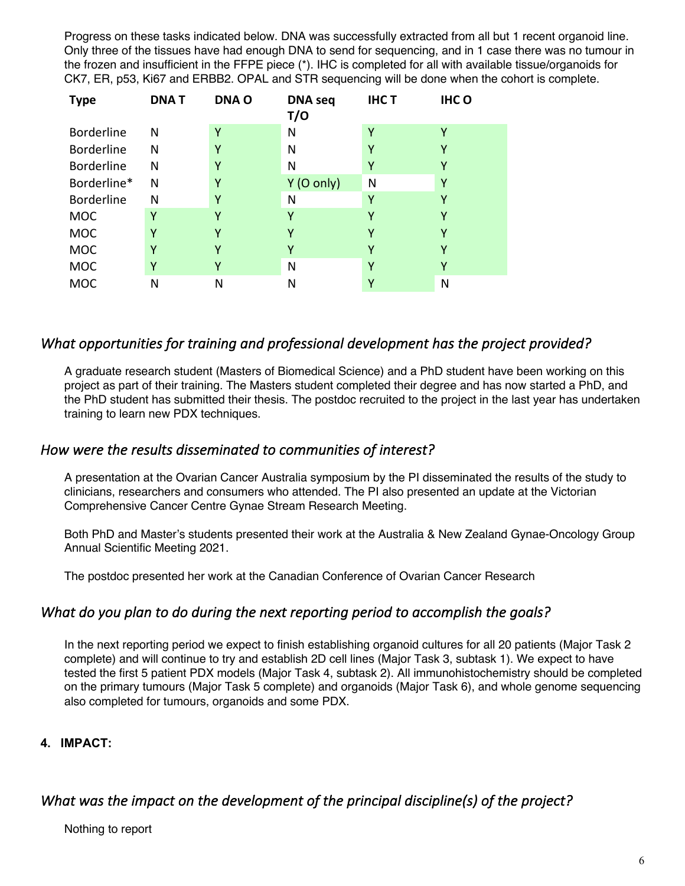Progress on these tasks indicated below. DNA was successfully extracted from all but 1 recent organoid line. Only three of the tissues have had enough DNA to send for sequencing, and in 1 case there was no tumour in the frozen and insufficient in the FFPE piece (\*). IHC is completed for all with available tissue/organoids for CK7, ER, p53, Ki67 and ERBB2. OPAL and STR sequencing will be done when the cohort is complete.

| <b>Type</b>       | <b>DNAT</b> | <b>DNAO</b> | <b>DNA</b> seq<br>T/O | <b>IHCT</b> | <b>IHCO</b> |
|-------------------|-------------|-------------|-----------------------|-------------|-------------|
| <b>Borderline</b> | N           | Υ           | N                     | Υ           | γ           |
| <b>Borderline</b> | N           | Υ           | N                     | Υ           | Υ           |
| <b>Borderline</b> | Ν           | Υ           | N                     | Υ           | γ           |
| Borderline*       | N           | Υ           | $Y$ (O only)          | N           | Υ           |
| <b>Borderline</b> | Ν           | Υ           | N                     | Υ           | Υ           |
| <b>MOC</b>        | Υ           | γ           | γ                     | γ           | Υ           |
| <b>MOC</b>        | Υ           | γ           | γ                     | γ           | Υ           |
| <b>MOC</b>        | Υ           | Υ           | Υ                     | ۷           | γ           |
| <b>MOC</b>        | Υ           | Υ           | N                     | Υ           | Y           |
| <b>MOC</b>        | N           | N           | N                     | Υ           | N           |

# *What opportunities for training and professional development has the project provided?*

A graduate research student (Masters of Biomedical Science) and a PhD student have been working on this project as part of their training. The Masters student completed their degree and has now started a PhD, and the PhD student has submitted their thesis. The postdoc recruited to the project in the last year has undertaken training to learn new PDX techniques.

### *How were the results disseminated to communities of interest?*

A presentation at the Ovarian Cancer Australia symposium by the PI disseminated the results of the study to clinicians, researchers and consumers who attended. The PI also presented an update at the Victorian Comprehensive Cancer Centre Gynae Stream Research Meeting.

Both PhD and Master's students presented their work at the Australia & New Zealand Gynae-Oncology Group Annual Scientific Meeting 2021.

The postdoc presented her work at the Canadian Conference of Ovarian Cancer Research

### *What do you plan to do during the next reporting period to accomplish the goals?*

In the next reporting period we expect to finish establishing organoid cultures for all 20 patients (Major Task 2 complete) and will continue to try and establish 2D cell lines (Major Task 3, subtask 1). We expect to have tested the first 5 patient PDX models (Major Task 4, subtask 2). All immunohistochemistry should be completed on the primary tumours (Major Task 5 complete) and organoids (Major Task 6), and whole genome sequencing also completed for tumours, organoids and some PDX.

### **4. IMPACT:**

# *What was the impact on the development of the principal discipline(s) of the project?*

Nothing to report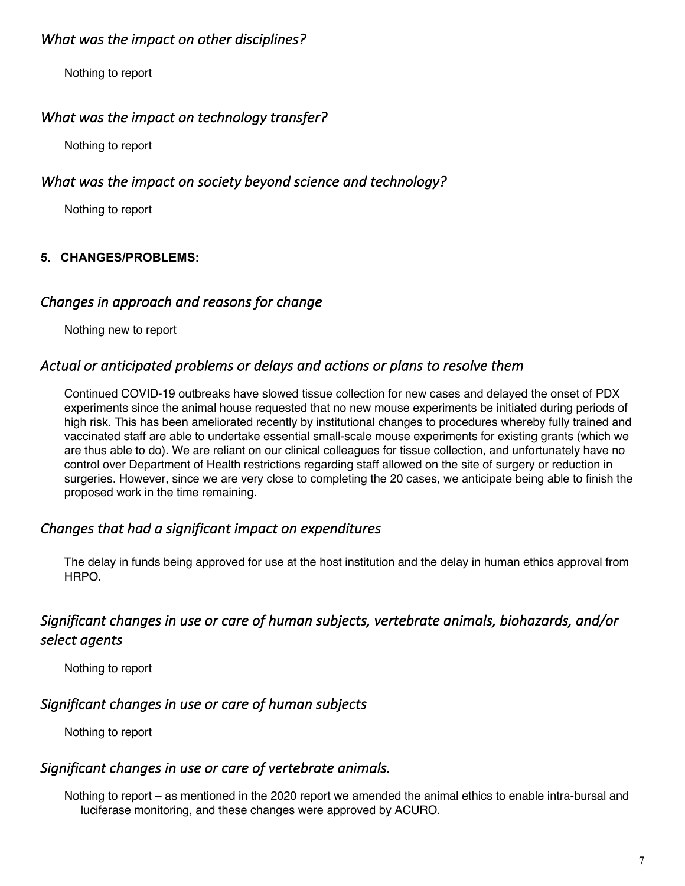# *What was the impact on other disciplines?*

Nothing to report

### *What was the impact on technology transfer?*

Nothing to report

### *What was the impact on society beyond science and technology?*

Nothing to report

### **5. CHANGES/PROBLEMS:**

### *Changes in approach and reasons for change*

Nothing new to report

### *Actual or anticipated problems or delays and actions or plans to resolve them*

Continued COVID-19 outbreaks have slowed tissue collection for new cases and delayed the onset of PDX experiments since the animal house requested that no new mouse experiments be initiated during periods of high risk. This has been ameliorated recently by institutional changes to procedures whereby fully trained and vaccinated staff are able to undertake essential small-scale mouse experiments for existing grants (which we are thus able to do). We are reliant on our clinical colleagues for tissue collection, and unfortunately have no control over Department of Health restrictions regarding staff allowed on the site of surgery or reduction in surgeries. However, since we are very close to completing the 20 cases, we anticipate being able to finish the proposed work in the time remaining.

### *Changes that had a significant impact on expenditures*

The delay in funds being approved for use at the host institution and the delay in human ethics approval from HRPO.

# *Significant changes in use or care of human subjects, vertebrate animals, biohazards, and/or select agents*

Nothing to report

### *Significant changes in use or care of human subjects*

Nothing to report

# *Significant changes in use or care of vertebrate animals.*

Nothing to report – as mentioned in the 2020 report we amended the animal ethics to enable intra-bursal and luciferase monitoring, and these changes were approved by ACURO.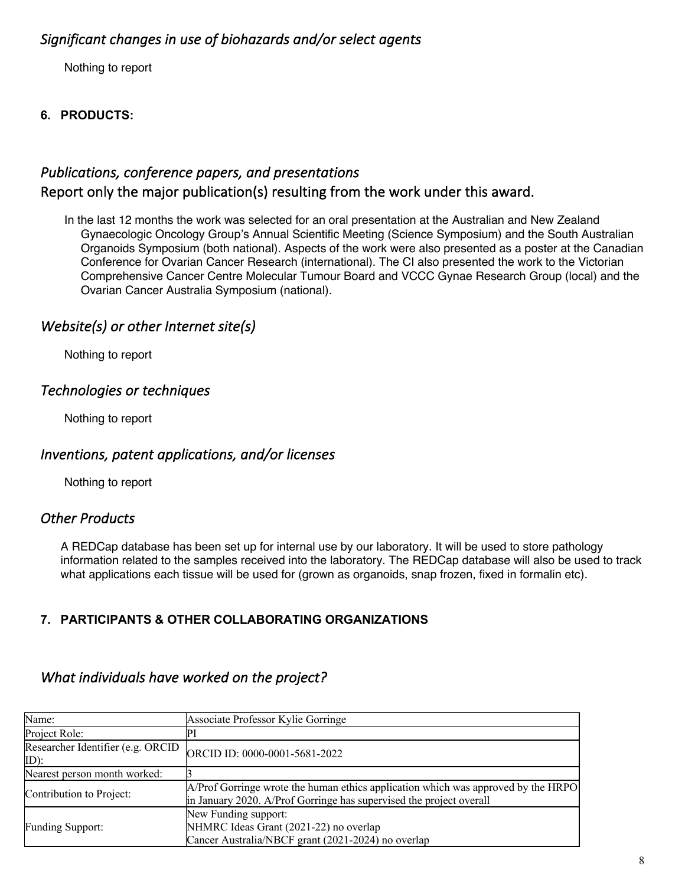# *Significant changes in use of biohazards and/or select agents*

Nothing to report

### **6. PRODUCTS:**

# *Publications, conference papers, and presentations*  Report only the major publication(s) resulting from the work under this award.

In the last 12 months the work was selected for an oral presentation at the Australian and New Zealand Gynaecologic Oncology Group's Annual Scientific Meeting (Science Symposium) and the South Australian Organoids Symposium (both national). Aspects of the work were also presented as a poster at the Canadian Conference for Ovarian Cancer Research (international). The CI also presented the work to the Victorian Comprehensive Cancer Centre Molecular Tumour Board and VCCC Gynae Research Group (local) and the Ovarian Cancer Australia Symposium (national).

# *Website(s) or other Internet site(s)*

Nothing to report

### *Technologies or techniques*

Nothing to report

### *Inventions, patent applications, and/or licenses*

Nothing to report

### *Other Products*

A REDCap database has been set up for internal use by our laboratory. It will be used to store pathology information related to the samples received into the laboratory. The REDCap database will also be used to track what applications each tissue will be used for (grown as organoids, snap frozen, fixed in formalin etc).

### **7. PARTICIPANTS & OTHER COLLABORATING ORGANIZATIONS**

### *What individuals have worked on the project?*

| Name:                                        | Associate Professor Kylie Gorringe                                                                                                                       |
|----------------------------------------------|----------------------------------------------------------------------------------------------------------------------------------------------------------|
| Project Role:                                |                                                                                                                                                          |
| Researcher Identifier (e.g. ORCID<br>$ID)$ : | ORCID ID: 0000-0001-5681-2022                                                                                                                            |
| Nearest person month worked:                 |                                                                                                                                                          |
| Contribution to Project:                     | A/Prof Gorringe wrote the human ethics application which was approved by the HRPO<br>in January 2020. A/Prof Gorringe has supervised the project overall |
| <b>Funding Support:</b>                      | New Funding support:<br>NHMRC Ideas Grant (2021-22) no overlap<br>Cancer Australia/NBCF grant (2021-2024) no overlap                                     |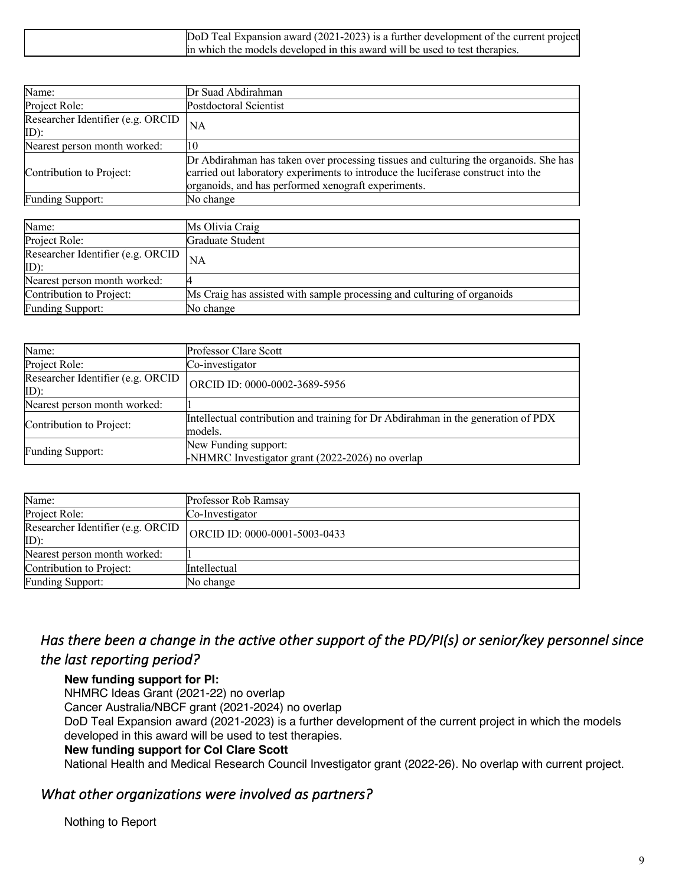| DoD Teal Expansion award (2021-2023) is a further development of the current project |
|--------------------------------------------------------------------------------------|
| lin which the models developed in this award will be used to test therapies.         |

| Name:                                                                                                                                                                                                                            | Dr Suad Abdirahman                                                                                                                                                                                                               |
|----------------------------------------------------------------------------------------------------------------------------------------------------------------------------------------------------------------------------------|----------------------------------------------------------------------------------------------------------------------------------------------------------------------------------------------------------------------------------|
| Project Role:                                                                                                                                                                                                                    | Postdoctoral Scientist                                                                                                                                                                                                           |
| Researcher Identifier (e.g. ORCID<br>ID):                                                                                                                                                                                        | <b>NA</b>                                                                                                                                                                                                                        |
| Nearest person month worked:                                                                                                                                                                                                     | 10                                                                                                                                                                                                                               |
| Contribution to Project:                                                                                                                                                                                                         | Dr Abdirahman has taken over processing tissues and culturing the organoids. She has<br>carried out laboratory experiments to introduce the luciferase construct into the<br>organoids, and has performed xenograft experiments. |
| Funding Support:                                                                                                                                                                                                                 | No change                                                                                                                                                                                                                        |
|                                                                                                                                                                                                                                  |                                                                                                                                                                                                                                  |
| Name:                                                                                                                                                                                                                            | Ms Olivia Craig                                                                                                                                                                                                                  |
| Project Role:                                                                                                                                                                                                                    | Graduate Student                                                                                                                                                                                                                 |
| $D_{\text{res}}$ $\mathbf{L}_{\text{res}}$ $\mathbf{L}_{\text{res}}$ $\mathbf{L}_{\text{res}}$ $\mathbf{L}_{\text{res}}$ $\mathbf{L}_{\text{res}}$ $\mathbf{L}_{\text{res}}$ $\mathbf{L}_{\text{res}}$ $\mathbf{L}_{\text{res}}$ |                                                                                                                                                                                                                                  |

| Researcher Identifier (e.g. ORCID $ _{NA}$<br>ID) |                                                                         |
|---------------------------------------------------|-------------------------------------------------------------------------|
| Nearest person month worked:                      |                                                                         |
| Contribution to Project:                          | Ms Craig has assisted with sample processing and culturing of organoids |
| <b>Funding Support:</b>                           | No change                                                               |

| Name:                                        | <b>Professor Clare Scott</b>                                                                 |
|----------------------------------------------|----------------------------------------------------------------------------------------------|
| Project Role:                                | Co-investigator                                                                              |
| Researcher Identifier (e.g. ORCID<br>$ID)$ : | ORCID ID: 0000-0002-3689-5956                                                                |
| Nearest person month worked:                 |                                                                                              |
| Contribution to Project:                     | Intellectual contribution and training for Dr Abdirahman in the generation of PDX<br>models. |
| Funding Support:                             | New Funding support:<br>-NHMRC Investigator grant (2022-2026) no overlap                     |

| Name:                                        | Professor Rob Ramsay          |
|----------------------------------------------|-------------------------------|
| Project Role:                                | Co-Investigator               |
| Researcher Identifier (e.g. ORCID<br>$ID)$ : | ORCID ID: 0000-0001-5003-0433 |
| Nearest person month worked:                 |                               |
| Contribution to Project:                     | Intellectual                  |
| <b>Funding Support:</b>                      | No change                     |

# *Has there been a change in the active other support of the PD/PI(s) or senior/key personnel since the last reporting period?*

#### **New funding support for PI:**

NHMRC Ideas Grant (2021-22) no overlap

Cancer Australia/NBCF grant (2021-2024) no overlap

DoD Teal Expansion award (2021-2023) is a further development of the current project in which the models developed in this award will be used to test therapies.

#### **New funding support for CoI Clare Scott**

National Health and Medical Research Council Investigator grant (2022-26). No overlap with current project.

### *What other organizations were involved as partners?*

#### Nothing to Report